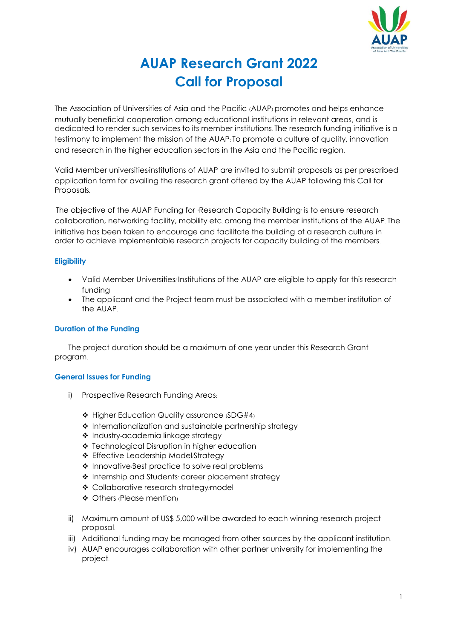

# **AUAP Research Grant 2022 Call for Proposal**

The Association of Universities of Asia and the Pacific (AUAP) promotes and helps enhance mutually beneficial cooperation among educational institutions in relevant areas, and is dedicated to render such services to its member institutions. The research funding initiative is a testimony to implement the mission of the AUAP: To promote a culture of quality, innovation and research in the higher education sectors in the Asia and the Pacific region.

Valid Member universities/institutions of AUAP are invited to submit proposals as per prescribed application form for availing the research grant offered by the AUAP following this Call for Proposals.

The objective of the AUAP Funding for 'Research Capacity Building' is to ensure research collaboration, networking facility, mobility etc. among the member institutions of the AUAP. The initiative has been taken to encourage and facilitate the building of a research culture in order to achieve implementable research projects for capacity building of the members.

# **Eligibility**

- Valid Member Universities/ Institutions of the AUAP are eligible to apply for this research funding
- The applicant and the Project team must be associated with a member institution of the AUAP.

# **Duration of the Funding**

The project duration should be a maximum of one year under this Research Grant program.

# **General Issues for Funding**

- i) Prospective Research Funding Areas:
	- Higher Education Quality assurance (SDG#4)
	- \* Internationalization and sustainable partnership strategy
	- Industry-academia linkage strategy
	- ❖ Technological Disruption in higher education
	- ❖ Effective Leadership Model/Strateav
	- $\triangle$  Innovative/Best practice to solve real problems
	- \* Internship and Students career placement strategy
	- ❖ Collaborative research strategy/model
	- ◆ Others (Please mention)
- ii) Maximum amount of US\$ 5,000 will be awarded to each winning research project proposal.
- iii) Additional funding may be managed from other sources by the applicant institution.
- iv) AUAP encourages collaboration with other partner university for implementing the project.